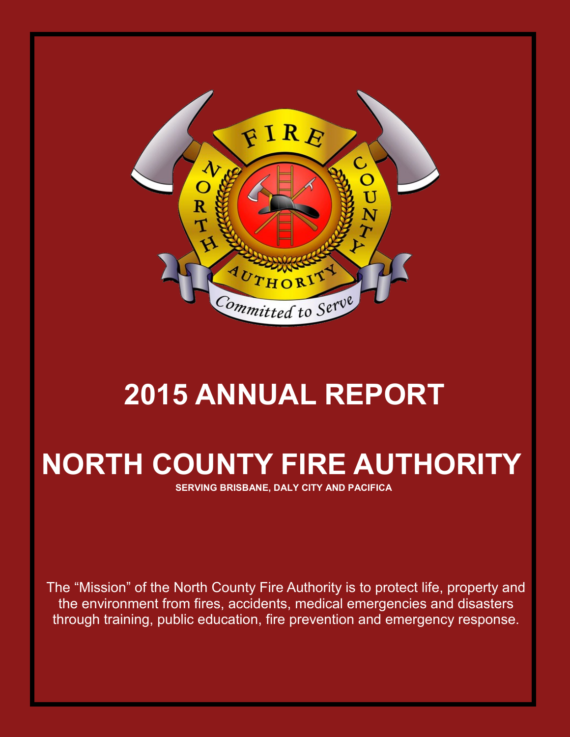

# **2015 ANNUAL REPORT**

# **NORTH COUNTY FIRE AUTHORITY**

**SERVING BRISBANE, DALY CITY AND PACIFICA**

The "Mission" of the North County Fire Authority is to protect life, property and the environment from fires, accidents, medical emergencies and disasters through training, public education, fire prevention and emergency response.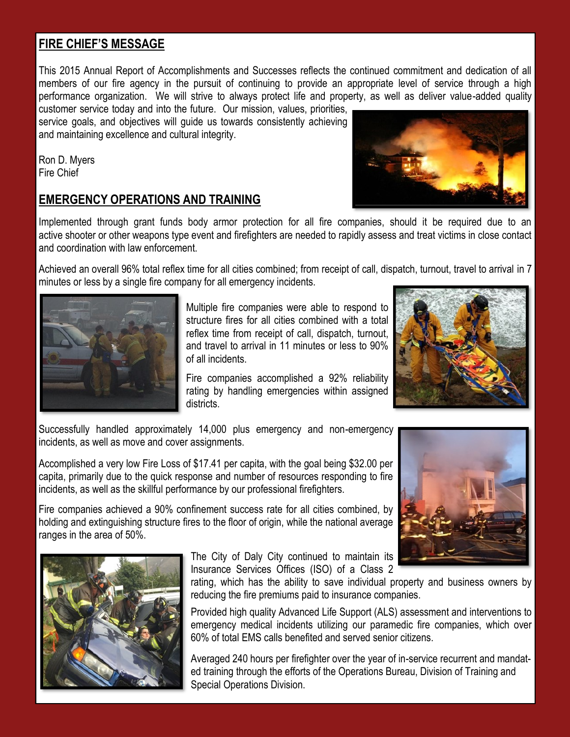#### **FIRE CHIEF'S MESSAGE**

This 2015 Annual Report of Accomplishments and Successes reflects the continued commitment and dedication of all members of our fire agency in the pursuit of continuing to provide an appropriate level of service through a high performance organization. We will strive to always protect life and property, as well as deliver value-added quality

customer service today and into the future. Our mission, values, priorities, service goals, and objectives will guide us towards consistently achieving and maintaining excellence and cultural integrity.

Ron D. Myers Fire Chief

#### **EMERGENCY OPERATIONS AND TRAINING**

Implemented through grant funds body armor protection for all fire companies, should it be required due to an active shooter or other weapons type event and firefighters are needed to rapidly assess and treat victims in close contact and coordination with law enforcement.

Achieved an overall 96% total reflex time for all cities combined; from receipt of call, dispatch, turnout, travel to arrival in 7 minutes or less by a single fire company for all emergency incidents.

> Multiple fire companies were able to respond to structure fires for all cities combined with a total

reflex time from receipt of call, dispatch, turnout, and travel to arrival in 11 minutes or less to 90% of all incidents. Fire companies accomplished a 92% reliability

rating by handling emergencies within assigned districts.

Successfully handled approximately 14,000 plus emergency and non-emergency incidents, as well as move and cover assignments.

Accomplished a very low Fire Loss of \$17.41 per capita, with the goal being \$32.00 per capita, primarily due to the quick response and number of resources responding to fire incidents, as well as the skillful performance by our professional firefighters.

Fire companies achieved a 90% confinement success rate for all cities combined, by holding and extinguishing structure fires to the floor of origin, while the national average ranges in the area of 50%.



rating, which has the ability to save individual property and business owners by reducing the fire premiums paid to insurance companies.

Provided high quality Advanced Life Support (ALS) assessment and interventions to emergency medical incidents utilizing our paramedic fire companies, which over 60% of total EMS calls benefited and served senior citizens.

Averaged 240 hours per firefighter over the year of in-service recurrent and mandated training through the efforts of the Operations Bureau, Division of Training and Special Operations Division.







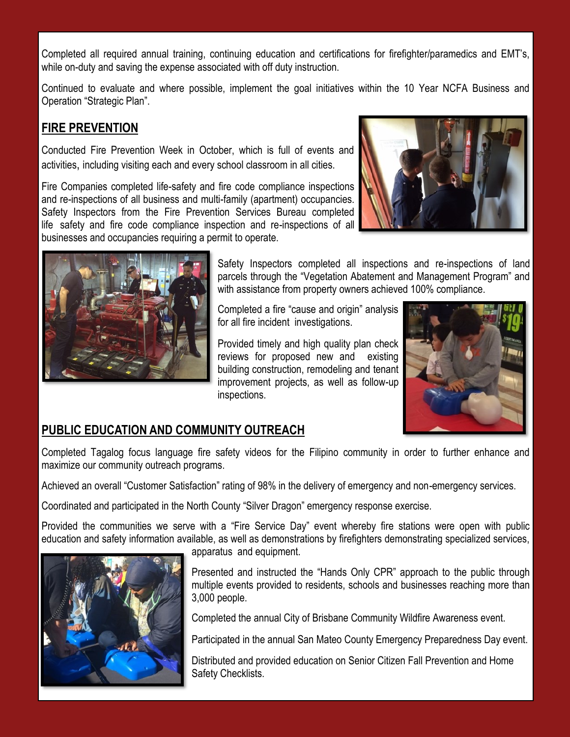Completed all required annual training, continuing education and certifications for firefighter/paramedics and EMT's, while on-duty and saving the expense associated with off duty instruction.

Continued to evaluate and where possible, implement the goal initiatives within the 10 Year NCFA Business and Operation "Strategic Plan".

### **FIRE PREVENTION**

Conducted Fire Prevention Week in October, which is full of events and activities, including visiting each and every school classroom in all cities.

Fire Companies completed life-safety and fire code compliance inspections and re-inspections of all business and multi-family (apartment) occupancies. Safety Inspectors from the Fire Prevention Services Bureau completed life safety and fire code compliance inspection and re-inspections of all businesses and occupancies requiring a permit to operate.



Safety Inspectors completed all inspections and re-inspections of land parcels through the "Vegetation Abatement and Management Program" and with assistance from property owners achieved 100% compliance.

Completed a fire "cause and origin" analysis for all fire incident investigations.

Provided timely and high quality plan check reviews for proposed new and existing building construction, remodeling and tenant improvement projects, as well as follow-up inspections.



### **PUBLIC EDUCATION AND COMMUNITY OUTREACH**

Completed Tagalog focus language fire safety videos for the Filipino community in order to further enhance and maximize our community outreach programs.

Achieved an overall "Customer Satisfaction" rating of 98% in the delivery of emergency and non-emergency services.

Coordinated and participated in the North County "Silver Dragon" emergency response exercise.

Provided the communities we serve with a "Fire Service Day" event whereby fire stations were open with public education and safety information available, as well as demonstrations by firefighters demonstrating specialized services,



apparatus and equipment.

Presented and instructed the "Hands Only CPR" approach to the public through multiple events provided to residents, schools and businesses reaching more than 3,000 people.

Completed the annual City of Brisbane Community Wildfire Awareness event.

Participated in the annual San Mateo County Emergency Preparedness Day event.

Distributed and provided education on Senior Citizen Fall Prevention and Home Safety Checklists.